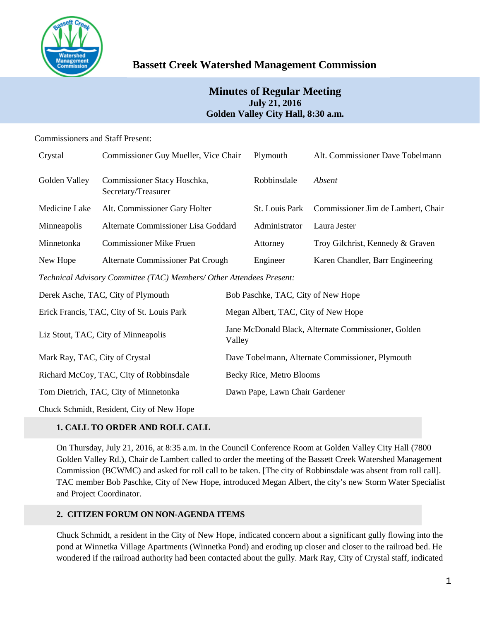

# **Bassett Creek Watershed Management Commission**

## **Minutes of Regular Meeting July 21, 2016 Golden Valley City Hall, 8:30 a.m.**

## Commissioners and Staff Present:

| Crystal                                                              | Commissioner Guy Mueller, Vice Chair               |                                                               | Plymouth       | Alt. Commissioner Dave Tobelmann   |  |
|----------------------------------------------------------------------|----------------------------------------------------|---------------------------------------------------------------|----------------|------------------------------------|--|
| Golden Valley                                                        | Commissioner Stacy Hoschka,<br>Secretary/Treasurer |                                                               | Robbinsdale    | Absent                             |  |
| Medicine Lake                                                        | Alt. Commissioner Gary Holter                      |                                                               | St. Louis Park | Commissioner Jim de Lambert, Chair |  |
| Minneapolis                                                          | Alternate Commissioner Lisa Goddard                |                                                               | Administrator  | Laura Jester                       |  |
| Minnetonka                                                           | <b>Commissioner Mike Fruen</b>                     |                                                               | Attorney       | Troy Gilchrist, Kennedy & Graven   |  |
| New Hope                                                             | Alternate Commissioner Pat Crough                  |                                                               | Engineer       | Karen Chandler, Barr Engineering   |  |
| Technical Advisory Committee (TAC) Members/ Other Attendees Present: |                                                    |                                                               |                |                                    |  |
| Derek Asche, TAC, City of Plymouth                                   |                                                    | Bob Paschke, TAC, City of New Hope                            |                |                                    |  |
| Erick Francis, TAC, City of St. Louis Park                           |                                                    | Megan Albert, TAC, City of New Hope                           |                |                                    |  |
| Liz Stout, TAC, City of Minneapolis                                  |                                                    | Jane McDonald Black, Alternate Commissioner, Golden<br>Valley |                |                                    |  |
| Mark Ray, TAC, City of Crystal                                       |                                                    | Dave Tobelmann, Alternate Commissioner, Plymouth              |                |                                    |  |
| Richard McCoy, TAC, City of Robbinsdale                              |                                                    | Becky Rice, Metro Blooms                                      |                |                                    |  |
| Tom Dietrich, TAC, City of Minnetonka                                |                                                    | Dawn Pape, Lawn Chair Gardener                                |                |                                    |  |
|                                                                      | Chuck Schmidt, Resident, City of New Hope          |                                                               |                |                                    |  |

## **1. CALL TO ORDER AND ROLL CALL**

On Thursday, July 21, 2016, at 8:35 a.m. in the Council Conference Room at Golden Valley City Hall (7800 Golden Valley Rd.), Chair de Lambert called to order the meeting of the Bassett Creek Watershed Management Commission (BCWMC) and asked for roll call to be taken. [The city of Robbinsdale was absent from roll call]. TAC member Bob Paschke, City of New Hope, introduced Megan Albert, the city's new Storm Water Specialist and Project Coordinator.

## **2. CITIZEN FORUM ON NON-AGENDA ITEMS**

Chuck Schmidt, a resident in the City of New Hope, indicated concern about a significant gully flowing into the pond at Winnetka Village Apartments (Winnetka Pond) and eroding up closer and closer to the railroad bed. He wondered if the railroad authority had been contacted about the gully. Mark Ray, City of Crystal staff, indicated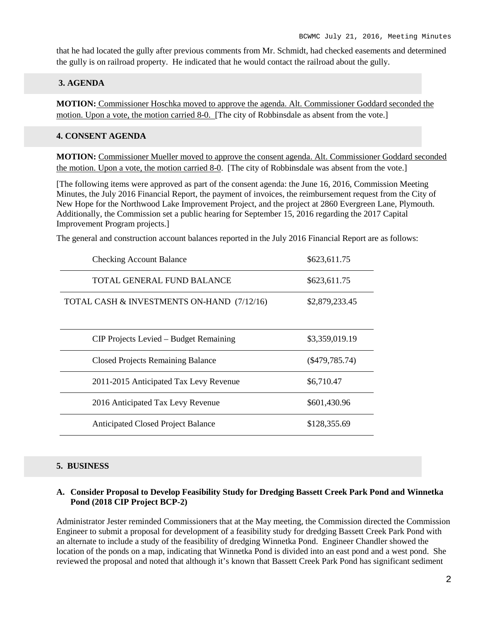that he had located the gully after previous comments from Mr. Schmidt, had checked easements and determined the gully is on railroad property. He indicated that he would contact the railroad about the gully.

#### **3. AGENDA**

**MOTION:** Commissioner Hoschka moved to approve the agenda. Alt. Commissioner Goddard seconded the motion. Upon a vote, the motion carried 8-0. [The city of Robbinsdale as absent from the vote.]

#### **4. CONSENT AGENDA**

**MOTION:** Commissioner Mueller moved to approve the consent agenda. Alt. Commissioner Goddard seconded the motion. Upon a vote, the motion carried 8-0. [The city of Robbinsdale was absent from the vote.]

[The following items were approved as part of the consent agenda: the June 16, 2016, Commission Meeting Minutes, the July 2016 Financial Report, the payment of invoices, the reimbursement request from the City of New Hope for the Northwood Lake Improvement Project, and the project at 2860 Evergreen Lane, Plymouth. Additionally, the Commission set a public hearing for September 15, 2016 regarding the 2017 Capital Improvement Program projects.]

The general and construction account balances reported in the July 2016 Financial Report are as follows:

| <b>Checking Account Balance</b>            | \$623,611.75     |
|--------------------------------------------|------------------|
| TOTAL GENERAL FUND BALANCE                 | \$623,611.75     |
| TOTAL CASH & INVESTMENTS ON-HAND (7/12/16) | \$2,879,233.45   |
| CIP Projects Levied – Budget Remaining     | \$3,359,019.19   |
| <b>Closed Projects Remaining Balance</b>   | $(\$479,785.74)$ |
| 2011-2015 Anticipated Tax Levy Revenue     | \$6,710.47       |
| 2016 Anticipated Tax Levy Revenue          | \$601,430.96     |
| <b>Anticipated Closed Project Balance</b>  | \$128,355.69     |

#### **5. BUSINESS**

#### **A. Consider Proposal to Develop Feasibility Study for Dredging Bassett Creek Park Pond and Winnetka Pond (2018 CIP Project BCP-2)**

Administrator Jester reminded Commissioners that at the May meeting, the Commission directed the Commission Engineer to submit a proposal for development of a feasibility study for dredging Bassett Creek Park Pond with an alternate to include a study of the feasibility of dredging Winnetka Pond. Engineer Chandler showed the location of the ponds on a map, indicating that Winnetka Pond is divided into an east pond and a west pond. She reviewed the proposal and noted that although it's known that Bassett Creek Park Pond has significant sediment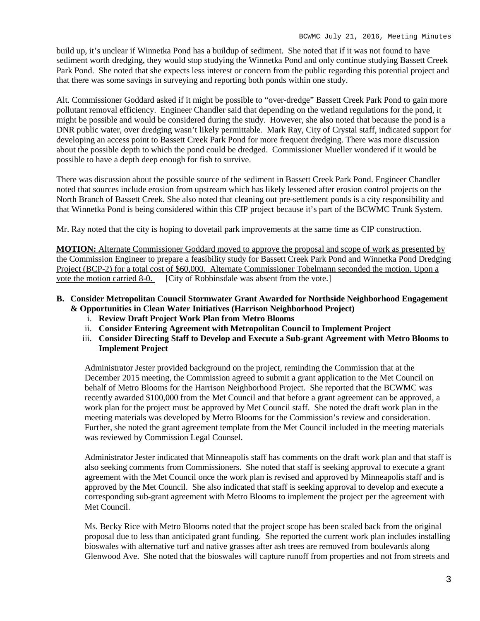build up, it's unclear if Winnetka Pond has a buildup of sediment. She noted that if it was not found to have sediment worth dredging, they would stop studying the Winnetka Pond and only continue studying Bassett Creek Park Pond. She noted that she expects less interest or concern from the public regarding this potential project and that there was some savings in surveying and reporting both ponds within one study.

Alt. Commissioner Goddard asked if it might be possible to "over-dredge" Bassett Creek Park Pond to gain more pollutant removal efficiency. Engineer Chandler said that depending on the wetland regulations for the pond, it might be possible and would be considered during the study. However, she also noted that because the pond is a DNR public water, over dredging wasn't likely permittable. Mark Ray, City of Crystal staff, indicated support for developing an access point to Bassett Creek Park Pond for more frequent dredging. There was more discussion about the possible depth to which the pond could be dredged. Commissioner Mueller wondered if it would be possible to have a depth deep enough for fish to survive.

There was discussion about the possible source of the sediment in Bassett Creek Park Pond. Engineer Chandler noted that sources include erosion from upstream which has likely lessened after erosion control projects on the North Branch of Bassett Creek. She also noted that cleaning out pre-settlement ponds is a city responsibility and that Winnetka Pond is being considered within this CIP project because it's part of the BCWMC Trunk System.

Mr. Ray noted that the city is hoping to dovetail park improvements at the same time as CIP construction.

**MOTION:** Alternate Commissioner Goddard moved to approve the proposal and scope of work as presented by the Commission Engineer to prepare a feasibility study for Bassett Creek Park Pond and Winnetka Pond Dredging Project (BCP-2) for a total cost of \$60,000. Alternate Commissioner Tobelmann seconded the motion. Upon a vote the motion carried 8-0. [City of Robbinsdale was absent from the vote.]

### **B. Consider Metropolitan Council Stormwater Grant Awarded for Northside Neighborhood Engagement & Opportunities in Clean Water Initiatives (Harrison Neighborhood Project)**

- i. **Review Draft Project Work Plan from Metro Blooms**
- ii. **Consider Entering Agreement with Metropolitan Council to Implement Project**
- iii. **Consider Directing Staff to Develop and Execute a Sub-grant Agreement with Metro Blooms to Implement Project**

Administrator Jester provided background on the project, reminding the Commission that at the December 2015 meeting, the Commission agreed to submit a grant application to the Met Council on behalf of Metro Blooms for the Harrison Neighborhood Project. She reported that the BCWMC was recently awarded \$100,000 from the Met Council and that before a grant agreement can be approved, a work plan for the project must be approved by Met Council staff. She noted the draft work plan in the meeting materials was developed by Metro Blooms for the Commission's review and consideration. Further, she noted the grant agreement template from the Met Council included in the meeting materials was reviewed by Commission Legal Counsel.

Administrator Jester indicated that Minneapolis staff has comments on the draft work plan and that staff is also seeking comments from Commissioners. She noted that staff is seeking approval to execute a grant agreement with the Met Council once the work plan is revised and approved by Minneapolis staff and is approved by the Met Council. She also indicated that staff is seeking approval to develop and execute a corresponding sub-grant agreement with Metro Blooms to implement the project per the agreement with Met Council.

Ms. Becky Rice with Metro Blooms noted that the project scope has been scaled back from the original proposal due to less than anticipated grant funding. She reported the current work plan includes installing bioswales with alternative turf and native grasses after ash trees are removed from boulevards along Glenwood Ave. She noted that the bioswales will capture runoff from properties and not from streets and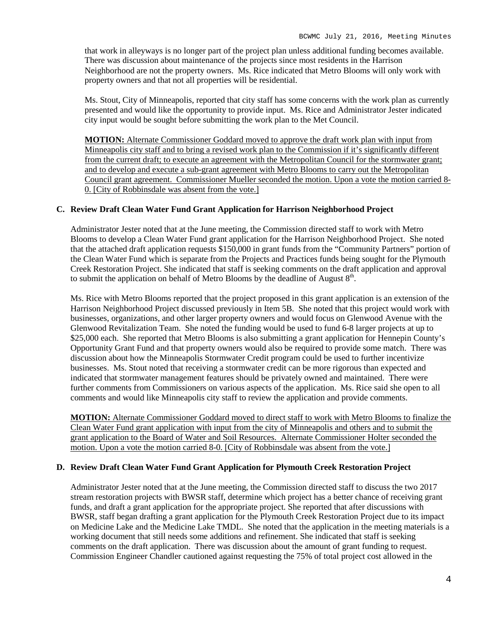that work in alleyways is no longer part of the project plan unless additional funding becomes available. There was discussion about maintenance of the projects since most residents in the Harrison Neighborhood are not the property owners. Ms. Rice indicated that Metro Blooms will only work with property owners and that not all properties will be residential.

Ms. Stout, City of Minneapolis, reported that city staff has some concerns with the work plan as currently presented and would like the opportunity to provide input. Ms. Rice and Administrator Jester indicated city input would be sought before submitting the work plan to the Met Council.

**MOTION:** Alternate Commissioner Goddard moved to approve the draft work plan with input from Minneapolis city staff and to bring a revised work plan to the Commission if it's significantly different from the current draft; to execute an agreement with the Metropolitan Council for the stormwater grant; and to develop and execute a sub-grant agreement with Metro Blooms to carry out the Metropolitan Council grant agreement. Commissioner Mueller seconded the motion. Upon a vote the motion carried 8- 0. [City of Robbinsdale was absent from the vote.]

#### **C. Review Draft Clean Water Fund Grant Application for Harrison Neighborhood Project**

Administrator Jester noted that at the June meeting, the Commission directed staff to work with Metro Blooms to develop a Clean Water Fund grant application for the Harrison Neighborhood Project. She noted that the attached draft application requests \$150,000 in grant funds from the "Community Partners" portion of the Clean Water Fund which is separate from the Projects and Practices funds being sought for the Plymouth Creek Restoration Project. She indicated that staff is seeking comments on the draft application and approval to submit the application on behalf of Metro Blooms by the deadline of August  $8<sup>th</sup>$ .

Ms. Rice with Metro Blooms reported that the project proposed in this grant application is an extension of the Harrison Neighborhood Project discussed previously in Item 5B. She noted that this project would work with businesses, organizations, and other larger property owners and would focus on Glenwood Avenue with the Glenwood Revitalization Team. She noted the funding would be used to fund 6-8 larger projects at up to \$25,000 each. She reported that Metro Blooms is also submitting a grant application for Hennepin County's Opportunity Grant Fund and that property owners would also be required to provide some match. There was discussion about how the Minneapolis Stormwater Credit program could be used to further incentivize businesses. Ms. Stout noted that receiving a stormwater credit can be more rigorous than expected and indicated that stormwater management features should be privately owned and maintained. There were further comments from Commissioners on various aspects of the application. Ms. Rice said she open to all comments and would like Minneapolis city staff to review the application and provide comments.

**MOTION:** Alternate Commissioner Goddard moved to direct staff to work with Metro Blooms to finalize the Clean Water Fund grant application with input from the city of Minneapolis and others and to submit the grant application to the Board of Water and Soil Resources. Alternate Commissioner Holter seconded the motion. Upon a vote the motion carried 8-0. [City of Robbinsdale was absent from the vote.]

#### **D. Review Draft Clean Water Fund Grant Application for Plymouth Creek Restoration Project**

Administrator Jester noted that at the June meeting, the Commission directed staff to discuss the two 2017 stream restoration projects with BWSR staff, determine which project has a better chance of receiving grant funds, and draft a grant application for the appropriate project. She reported that after discussions with BWSR, staff began drafting a grant application for the Plymouth Creek Restoration Project due to its impact on Medicine Lake and the Medicine Lake TMDL. She noted that the application in the meeting materials is a working document that still needs some additions and refinement. She indicated that staff is seeking comments on the draft application. There was discussion about the amount of grant funding to request. Commission Engineer Chandler cautioned against requesting the 75% of total project cost allowed in the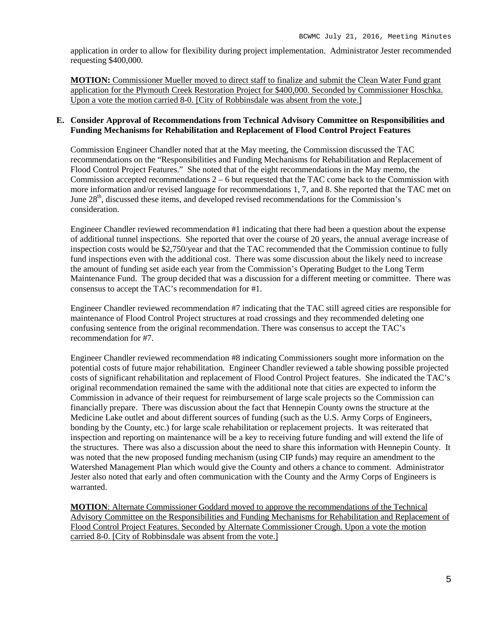application in order to allow for flexibility during project implementation. Administrator Jester recommended requesting \$400,000.

**MOTION:** Commissioner Mueller moved to direct staff to finalize and submit the Clean Water Fund grant application for the Plymouth Creek Restoration Project for \$400,000. Seconded by Commissioner Hoschka. Upon a vote the motion carried 8-0. [City of Robbinsdale was absent from the vote.]

#### **E. Consider Approval of Recommendations from Technical Advisory Committee on Responsibilities and Funding Mechanisms for Rehabilitation and Replacement of Flood Control Project Features**

Commission Engineer Chandler noted that at the May meeting, the Commission discussed the TAC recommendations on the "Responsibilities and Funding Mechanisms for Rehabilitation and Replacement of Flood Control Project Features." She noted that of the eight recommendations in the May memo, the Commission accepted recommendations  $2 - 6$  but requested that the TAC come back to the Commission with more information and/or revised language for recommendations 1, 7, and 8. She reported that the TAC met on June  $28<sup>th</sup>$ , discussed these items, and developed revised recommendations for the Commission's consideration.

Engineer Chandler reviewed recommendation #1 indicating that there had been a question about the expense of additional tunnel inspections. She reported that over the course of 20 years, the annual average increase of inspection costs would be \$2,750/year and that the TAC recommended that the Commission continue to fully fund inspections even with the additional cost. There was some discussion about the likely need to increase the amount of funding set aside each year from the Commission's Operating Budget to the Long Term Maintenance Fund. The group decided that was a discussion for a different meeting or committee. There was consensus to accept the TAC's recommendation for #1.

Engineer Chandler reviewed recommendation #7 indicating that the TAC still agreed cities are responsible for maintenance of Flood Control Project structures at road crossings and they recommended deleting one confusing sentence from the original recommendation. There was consensus to accept the TAC's recommendation for #7.

Engineer Chandler reviewed recommendation #8 indicating Commissioners sought more information on the potential costs of future major rehabilitation. Engineer Chandler reviewed a table showing possible projected costs of significant rehabilitation and replacement of Flood Control Project features. She indicated the TAC's original recommendation remained the same with the additional note that cities are expected to inform the Commission in advance of their request for reimbursement of large scale projects so the Commission can financially prepare. There was discussion about the fact that Hennepin County owns the structure at the Medicine Lake outlet and about different sources of funding (such as the U.S. Army Corps of Engineers, bonding by the County, etc.) for large scale rehabilitation or replacement projects. It was reiterated that inspection and reporting on maintenance will be a key to receiving future funding and will extend the life of the structures. There was also a discussion about the need to share this information with Hennepin County. It was noted that the new proposed funding mechanism (using CIP funds) may require an amendment to the Watershed Management Plan which would give the County and others a chance to comment. Administrator Jester also noted that early and often communication with the County and the Army Corps of Engineers is warranted.

**MOTION**: Alternate Commissioner Goddard moved to approve the recommendations of the Technical Advisory Committee on the Responsibilities and Funding Mechanisms for Rehabilitation and Replacement of Flood Control Project Features. Seconded by Alternate Commissioner Crough. Upon a vote the motion carried 8-0. [City of Robbinsdale was absent from the vote.]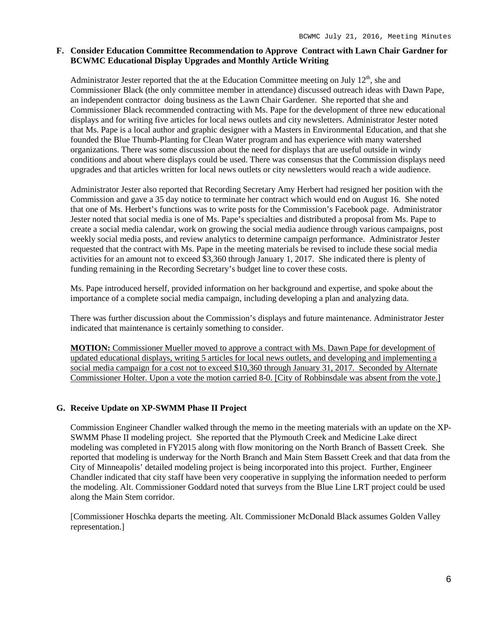#### **F. Consider Education Committee Recommendation to Approve Contract with Lawn Chair Gardner for BCWMC Educational Display Upgrades and Monthly Article Writing**

Administrator Jester reported that the at the Education Committee meeting on July  $12<sup>th</sup>$ , she and Commissioner Black (the only committee member in attendance) discussed outreach ideas with Dawn Pape, an independent contractor doing business as the Lawn Chair Gardener. She reported that she and Commissioner Black recommended contracting with Ms. Pape for the development of three new educational displays and for writing five articles for local news outlets and city newsletters. Administrator Jester noted that Ms. Pape is a local author and graphic designer with a Masters in Environmental Education, and that she founded the Blue Thumb-Planting for Clean Water program and has experience with many watershed organizations. There was some discussion about the need for displays that are useful outside in windy conditions and about where displays could be used. There was consensus that the Commission displays need upgrades and that articles written for local news outlets or city newsletters would reach a wide audience.

Administrator Jester also reported that Recording Secretary Amy Herbert had resigned her position with the Commission and gave a 35 day notice to terminate her contract which would end on August 16. She noted that one of Ms. Herbert's functions was to write posts for the Commission's Facebook page. Administrator Jester noted that social media is one of Ms. Pape's specialties and distributed a proposal from Ms. Pape to create a social media calendar, work on growing the social media audience through various campaigns, post weekly social media posts, and review analytics to determine campaign performance. Administrator Jester requested that the contract with Ms. Pape in the meeting materials be revised to include these social media activities for an amount not to exceed \$3,360 through January 1, 2017. She indicated there is plenty of funding remaining in the Recording Secretary's budget line to cover these costs.

Ms. Pape introduced herself, provided information on her background and expertise, and spoke about the importance of a complete social media campaign, including developing a plan and analyzing data.

There was further discussion about the Commission's displays and future maintenance. Administrator Jester indicated that maintenance is certainly something to consider.

**MOTION:** Commissioner Mueller moved to approve a contract with Ms. Dawn Pape for development of updated educational displays, writing 5 articles for local news outlets, and developing and implementing a social media campaign for a cost not to exceed \$10,360 through January 31, 2017. Seconded by Alternate Commissioner Holter. Upon a vote the motion carried 8-0. [City of Robbinsdale was absent from the vote.]

#### **G. Receive Update on XP-SWMM Phase II Project**

Commission Engineer Chandler walked through the memo in the meeting materials with an update on the XP-SWMM Phase II modeling project. She reported that the Plymouth Creek and Medicine Lake direct modeling was completed in FY2015 along with flow monitoring on the North Branch of Bassett Creek. She reported that modeling is underway for the North Branch and Main Stem Bassett Creek and that data from the City of Minneapolis' detailed modeling project is being incorporated into this project. Further, Engineer Chandler indicated that city staff have been very cooperative in supplying the information needed to perform the modeling. Alt. Commissioner Goddard noted that surveys from the Blue Line LRT project could be used along the Main Stem corridor.

[Commissioner Hoschka departs the meeting. Alt. Commissioner McDonald Black assumes Golden Valley representation.]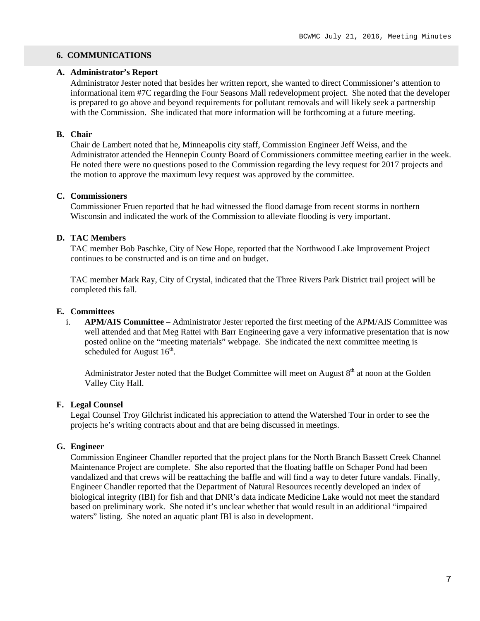## **6. COMMUNICATIONS**

#### **A. Administrator's Report**

Administrator Jester noted that besides her written report, she wanted to direct Commissioner's attention to informational item #7C regarding the Four Seasons Mall redevelopment project. She noted that the developer is prepared to go above and beyond requirements for pollutant removals and will likely seek a partnership with the Commission. She indicated that more information will be forthcoming at a future meeting.

#### **B. Chair**

Chair de Lambert noted that he, Minneapolis city staff, Commission Engineer Jeff Weiss, and the Administrator attended the Hennepin County Board of Commissioners committee meeting earlier in the week. He noted there were no questions posed to the Commission regarding the levy request for 2017 projects and the motion to approve the maximum levy request was approved by the committee.

#### **C. Commissioners**

Commissioner Fruen reported that he had witnessed the flood damage from recent storms in northern Wisconsin and indicated the work of the Commission to alleviate flooding is very important.

#### **D. TAC Members**

TAC member Bob Paschke, City of New Hope, reported that the Northwood Lake Improvement Project continues to be constructed and is on time and on budget.

TAC member Mark Ray, City of Crystal, indicated that the Three Rivers Park District trail project will be completed this fall.

#### **E. Committees**

i. **APM/AIS Committee –** Administrator Jester reported the first meeting of the APM/AIS Committee was well attended and that Meg Rattei with Barr Engineering gave a very informative presentation that is now posted online on the "meeting materials" webpage. She indicated the next committee meeting is scheduled for August  $16<sup>th</sup>$ .

Administrator Jester noted that the Budget Committee will meet on August  $8<sup>th</sup>$  at noon at the Golden Valley City Hall.

#### **F. Legal Counsel**

Legal Counsel Troy Gilchrist indicated his appreciation to attend the Watershed Tour in order to see the projects he's writing contracts about and that are being discussed in meetings.

#### **G. Engineer**

Commission Engineer Chandler reported that the project plans for the North Branch Bassett Creek Channel Maintenance Project are complete. She also reported that the floating baffle on Schaper Pond had been vandalized and that crews will be reattaching the baffle and will find a way to deter future vandals. Finally, Engineer Chandler reported that the Department of Natural Resources recently developed an index of biological integrity (IBI) for fish and that DNR's data indicate Medicine Lake would not meet the standard based on preliminary work. She noted it's unclear whether that would result in an additional "impaired waters" listing. She noted an aquatic plant IBI is also in development.